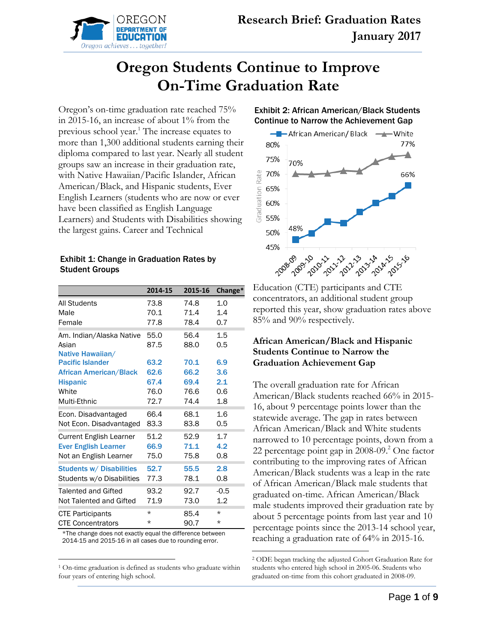

# **Oregon Students Continue to Improve On-Time Graduation Rate**

Oregon's on-time graduation rate reached 75% in 2015-16, an increase of about 1% from the previous school year.<sup>1</sup> The increase equates to more than 1,300 additional students earning their diploma compared to last year. Nearly all student groups saw an increase in their graduation rate, with Native Hawaiian/Pacific Islander, African American/Black, and Hispanic students, Ever English Learners (students who are now or ever have been classified as English Language Learners) and Students with Disabilities showing the largest gains. Career and Technical

#### Exhibit 1: Change in Graduation Rates by Student Groups

|                                                       | 2014-15      | 2015-16      | Change*    |
|-------------------------------------------------------|--------------|--------------|------------|
| <b>All Students</b>                                   | 73.8         | 74.8         | 1.0        |
| Male                                                  | 70.1         | 71.4         | 1.4        |
| Female                                                | 77.8         | 78.4         | 0.7        |
| Am. Indian/Alaska Native<br>Asian<br>Native Hawaiian/ | 55.0<br>87.5 | 56.4<br>88.0 | 1.5<br>0.5 |
| <b>Pacific Islander</b>                               | 63.2         | 70.1         | 6.9        |
| <b>African American/Black</b>                         | 62.6         | 66.2         | 3.6        |
| <b>Hispanic</b>                                       | 67.4         | 69.4         | 2.1        |
| White                                                 | 76.0         | 76.6         | 0.6        |
| Multi-Ethnic                                          | 72.7         | 74.4         | 1.8        |
| Econ. Disadvantaged                                   | 66.4         | 68.1         | 1.6        |
| Not Econ. Disadvantaged                               | 83.3         | 83.8         | 0.5        |
| Current English Learner                               | 51.2         | 52.9         | 1.7        |
| <b>Ever English Learner</b>                           | 66.9         | 71.1         | 4.2        |
| Not an English Learner                                | 75.0         | 75.8         | 0.8        |
| <b>Students w/ Disabilities</b>                       | 52.7         | 55.5         | 2.8        |
| Students w/o Disabilities                             | 77.3         | 78.1         | 0.8        |
| Talented and Gifted                                   | 93.2         | 92.7         | $-0.5$     |
| Not Talented and Gifted                               | 71.9         | 73.0         | 1.2        |
| <b>CTE Participants</b>                               | $^\star$     | 85.4         | $^\star$   |
| <b>CTE Concentrators</b>                              | $^\star$     | 90.7         | $^\star$   |

\*The change does not exactly equal the difference between 2014-15 and 2015-16 in all cases due to rounding error.

<sup>1</sup> On-time graduation is defined as students who graduate within four years of entering high school.





Education (CTE) participants and CTE concentrators, an additional student group reported this year, show graduation rates above 85% and 90% respectively.

### **African American/Black and Hispanic Students Continue to Narrow the Graduation Achievement Gap**

The overall graduation rate for African American/Black students reached 66% in 2015- 16, about 9 percentage points lower than the statewide average. The gap in rates between African American/Black and White students narrowed to 10 percentage points, down from a 22 percentage point gap in  $2008-09$ .<sup>2</sup> One factor contributing to the improving rates of African American/Black students was a leap in the rate of African American/Black male students that graduated on-time. African American/Black male students improved their graduation rate by about 5 percentage points from last year and 10 percentage points since the 2013-14 school year, reaching a graduation rate of 64% in 2015-16.

<sup>2</sup> ODE began tracking the adjusted Cohort Graduation Rate for students who entered high school in 2005-06. Students who graduated on-time from this cohort graduated in 2008-09.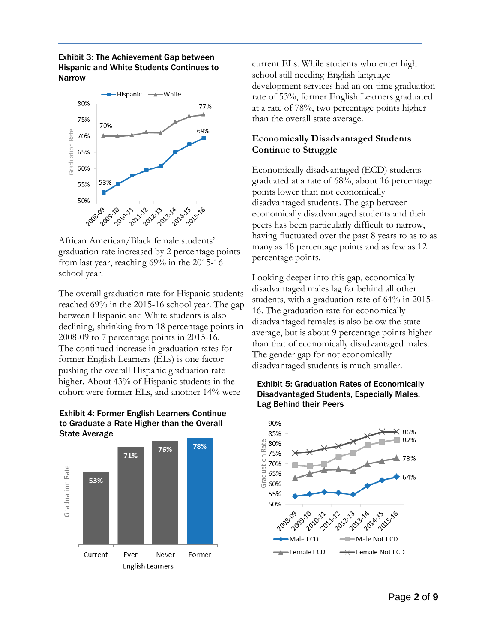#### Exhibit 3: The Achievement Gap between Hispanic and White Students Continues to Narrow



African American/Black female students' graduation rate increased by 2 percentage points from last year, reaching 69% in the 2015-16 school year.

The overall graduation rate for Hispanic students reached 69% in the 2015-16 school year. The gap between Hispanic and White students is also declining, shrinking from 18 percentage points in 2008-09 to 7 percentage points in 2015-16. The continued increase in graduation rates for former English Learners (ELs) is one factor pushing the overall Hispanic graduation rate higher. About 43% of Hispanic students in the cohort were former ELs, and another 14% were





current ELs. While students who enter high school still needing English language development services had an on-time graduation rate of 53%, former English Learners graduated at a rate of 78%, two percentage points higher than the overall state average.

### **Economically Disadvantaged Students Continue to Struggle**

Economically disadvantaged (ECD) students graduated at a rate of 68%, about 16 percentage points lower than not economically disadvantaged students. The gap between economically disadvantaged students and their peers has been particularly difficult to narrow, having fluctuated over the past 8 years to as to as many as 18 percentage points and as few as 12 percentage points.

Looking deeper into this gap, economically disadvantaged males lag far behind all other students, with a graduation rate of 64% in 2015- 16. The graduation rate for economically disadvantaged females is also below the state average, but is about 9 percentage points higher than that of economically disadvantaged males. The gender gap for not economically disadvantaged students is much smaller.



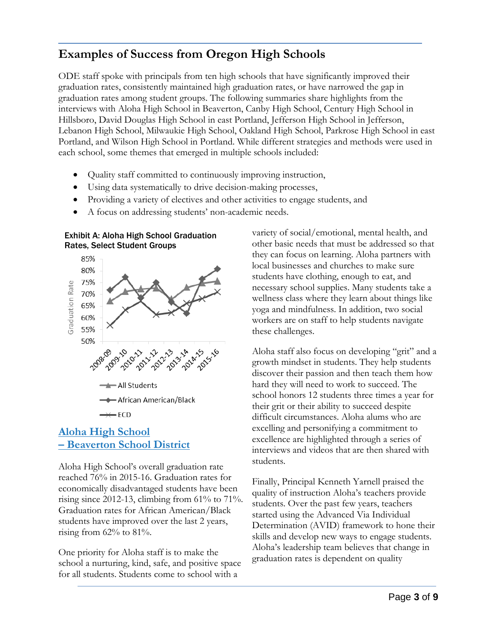# **Examples of Success from Oregon High Schools**

ODE staff spoke with principals from ten high schools that have significantly improved their graduation rates, consistently maintained high graduation rates, or have narrowed the gap in graduation rates among student groups. The following summaries share highlights from the interviews with Aloha High School in Beaverton, Canby High School, Century High School in Hillsboro, David Douglas High School in east Portland, Jefferson High School in Jefferson, Lebanon High School, Milwaukie High School, Oakland High School, Parkrose High School in east Portland, and Wilson High School in Portland. While different strategies and methods were used in each school, some themes that emerged in multiple schools included:

- Quality staff committed to continuously improving instruction,
- Using data systematically to drive decision-making processes,
- Providing a variety of electives and other activities to engage students, and
- A focus on addressing students' non-academic needs.





### **Aloha High School – Beaverton School District**

Aloha High School's overall graduation rate reached 76% in 2015-16. Graduation rates for economically disadvantaged students have been rising since 2012-13, climbing from  $61\%$  to  $71\%$ . Graduation rates for African American/Black students have improved over the last 2 years, rising from 62% to 81%.

One priority for Aloha staff is to make the school a nurturing, kind, safe, and positive space for all students. Students come to school with a

variety of social/emotional, mental health, and other basic needs that must be addressed so that they can focus on learning. Aloha partners with local businesses and churches to make sure students have clothing, enough to eat, and necessary school supplies. Many students take a wellness class where they learn about things like yoga and mindfulness. In addition, two social workers are on staff to help students navigate these challenges.

Aloha staff also focus on developing "grit" and a growth mindset in students. They help students discover their passion and then teach them how hard they will need to work to succeed. The school honors 12 students three times a year for their grit or their ability to succeed despite difficult circumstances. Aloha alums who are excelling and personifying a commitment to excellence are highlighted through a series of interviews and videos that are then shared with students.

Finally, Principal Kenneth Yarnell praised the quality of instruction Aloha's teachers provide students. Over the past few years, teachers started using the Advanced Via Individual Determination (AVID) framework to hone their skills and develop new ways to engage students. Aloha's leadership team believes that change in graduation rates is dependent on quality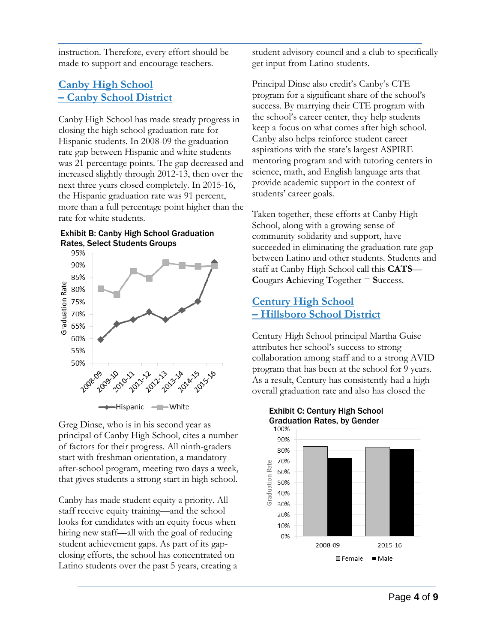instruction. Therefore, every effort should be made to support and encourage teachers.

## **Canby High School – Canby School District**

Canby High School has made steady progress in closing the high school graduation rate for Hispanic students. In 2008-09 the graduation rate gap between Hispanic and white students was 21 percentage points. The gap decreased and increased slightly through 2012-13, then over the next three years closed completely. In 2015-16, the Hispanic graduation rate was 91 percent, more than a full percentage point higher than the rate for white students.

#### Exhibit B: Canby High School Graduation Rates, Select Students Groups



Greg Dinse, who is in his second year as principal of Canby High School, cites a number of factors for their progress. All ninth-graders start with freshman orientation, a mandatory after-school program, meeting two days a week, that gives students a strong start in high school.

Canby has made student equity a priority. All staff receive equity training—and the school looks for candidates with an equity focus when hiring new staff—all with the goal of reducing student achievement gaps. As part of its gapclosing efforts, the school has concentrated on Latino students over the past 5 years, creating a student advisory council and a club to specifically get input from Latino students.

Principal Dinse also credit's Canby's CTE program for a significant share of the school's success. By marrying their CTE program with the school's career center, they help students keep a focus on what comes after high school. Canby also helps reinforce student career aspirations with the state's largest ASPIRE mentoring program and with tutoring centers in science, math, and English language arts that provide academic support in the context of students' career goals.

Taken together, these efforts at Canby High School, along with a growing sense of community solidarity and support, have succeeded in eliminating the graduation rate gap between Latino and other students. Students and staff at Canby High School call this **CATS**— **C**ougars **A**chieving **T**ogether = **S**uccess.

# **Century High School – Hillsboro School District**

Century High School principal Martha Guise attributes her school's success to strong collaboration among staff and to a strong AVID program that has been at the school for 9 years. As a result, Century has consistently had a high overall graduation rate and also has closed the



# Exhibit C: Century High School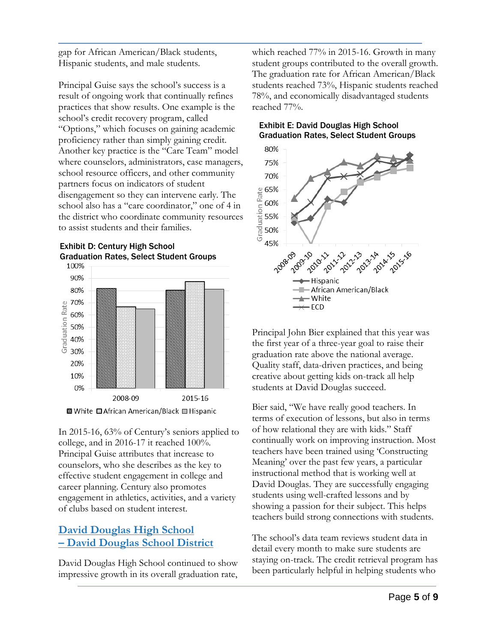gap for African American/Black students, Hispanic students, and male students.

Principal Guise says the school's success is a result of ongoing work that continually refines practices that show results. One example is the school's credit recovery program, called "Options," which focuses on gaining academic proficiency rather than simply gaining credit. Another key practice is the "Care Team" model where counselors, administrators, case managers, school resource officers, and other community partners focus on indicators of student disengagement so they can intervene early. The school also has a "care coordinator," one of 4 in the district who coordinate community resources to assist students and their families.

### Exhibit D: Century High School Graduation Rates, Select Student Groups





In 2015-16, 63% of Century's seniors applied to college, and in 2016-17 it reached 100%. Principal Guise attributes that increase to counselors, who she describes as the key to effective student engagement in college and career planning. Century also promotes engagement in athletics, activities, and a variety of clubs based on student interest.

# **David Douglas High School – David Douglas School District**

David Douglas High School continued to show impressive growth in its overall graduation rate,

which reached 77% in 2015-16. Growth in many student groups contributed to the overall growth. The graduation rate for African American/Black students reached 73%, Hispanic students reached 78%, and economically disadvantaged students reached 77%.

### Exhibit E: David Douglas High School Graduation Rates, Select Student Groups



Principal John Bier explained that this year was the first year of a three-year goal to raise their graduation rate above the national average. Quality staff, data-driven practices, and being creative about getting kids on-track all help students at David Douglas succeed.

Bier said, "We have really good teachers. In terms of execution of lessons, but also in terms of how relational they are with kids." Staff continually work on improving instruction. Most teachers have been trained using 'Constructing Meaning' over the past few years, a particular instructional method that is working well at David Douglas. They are successfully engaging students using well-crafted lessons and by showing a passion for their subject. This helps teachers build strong connections with students.

The school's data team reviews student data in detail every month to make sure students are staying on-track. The credit retrieval program has been particularly helpful in helping students who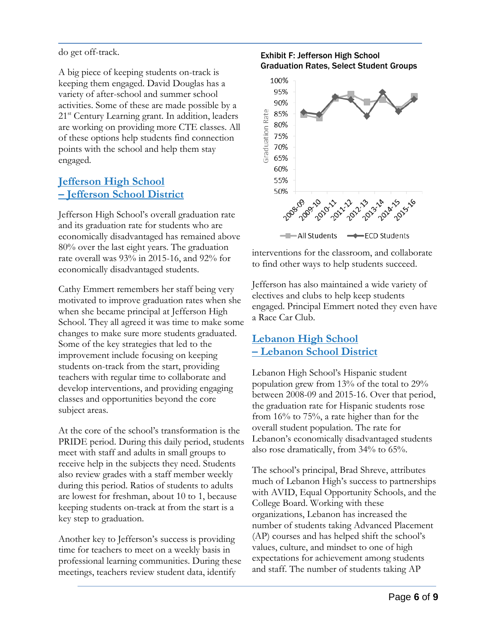do get off-track.

A big piece of keeping students on-track is keeping them engaged. David Douglas has a variety of after-school and summer school activities. Some of these are made possible by a 21<sup>st</sup> Century Learning grant. In addition, leaders are working on providing more CTE classes. All of these options help students find connection points with the school and help them stay engaged.

# **Jefferson High School – Jefferson School District**

Jefferson High School's overall graduation rate and its graduation rate for students who are economically disadvantaged has remained above 80% over the last eight years. The graduation rate overall was 93% in 2015-16, and 92% for economically disadvantaged students.

Cathy Emmert remembers her staff being very motivated to improve graduation rates when she when she became principal at Jefferson High School. They all agreed it was time to make some changes to make sure more students graduated. Some of the key strategies that led to the improvement include focusing on keeping students on-track from the start, providing teachers with regular time to collaborate and develop interventions, and providing engaging classes and opportunities beyond the core subject areas.

At the core of the school's transformation is the PRIDE period. During this daily period, students meet with staff and adults in small groups to receive help in the subjects they need. Students also review grades with a staff member weekly during this period. Ratios of students to adults are lowest for freshman, about 10 to 1, because keeping students on-track at from the start is a key step to graduation.

Another key to Jefferson's success is providing time for teachers to meet on a weekly basis in professional learning communities. During these meetings, teachers review student data, identify

### Exhibit F: Jefferson High School Graduation Rates, Select Student Groups



interventions for the classroom, and collaborate to find other ways to help students succeed.

Jefferson has also maintained a wide variety of electives and clubs to help keep students engaged. Principal Emmert noted they even have a Race Car Club.

# **Lebanon High School – Lebanon School District**

Lebanon High School's Hispanic student population grew from 13% of the total to 29% between 2008-09 and 2015-16. Over that period, the graduation rate for Hispanic students rose from 16% to 75%, a rate higher than for the overall student population. The rate for Lebanon's economically disadvantaged students also rose dramatically, from 34% to 65%.

The school's principal, Brad Shreve, attributes much of Lebanon High's success to partnerships with AVID, Equal Opportunity Schools, and the College Board. Working with these organizations, Lebanon has increased the number of students taking Advanced Placement (AP) courses and has helped shift the school's values, culture, and mindset to one of high expectations for achievement among students and staff. The number of students taking AP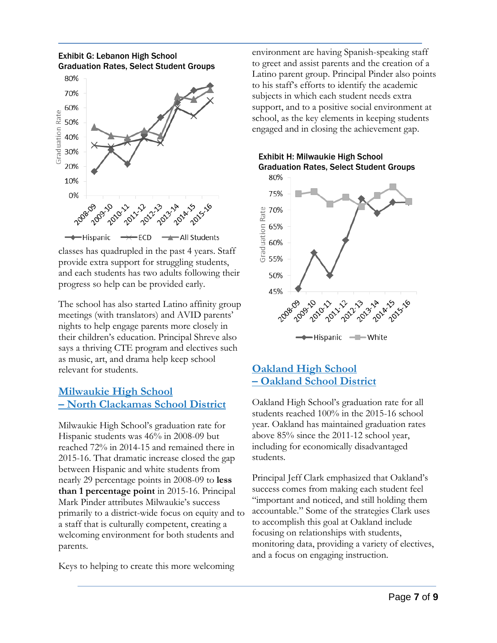



classes has quadrupled in the past 4 years. Staff provide extra support for struggling students, and each students has two adults following their progress so help can be provided early.

The school has also started Latino affinity group meetings (with translators) and AVID parents' nights to help engage parents more closely in their children's education. Principal Shreve also says a thriving CTE program and electives such as music, art, and drama help keep school relevant for students.

### **Milwaukie High School – North Clackamas School District**

Milwaukie High School's graduation rate for Hispanic students was 46% in 2008-09 but reached 72% in 2014-15 and remained there in 2015-16. That dramatic increase closed the gap between Hispanic and white students from nearly 29 percentage points in 2008-09 to **less than 1 percentage point** in 2015-16. Principal Mark Pinder attributes Milwaukie's success primarily to a district-wide focus on equity and to a staff that is culturally competent, creating a welcoming environment for both students and parents.

Keys to helping to create this more welcoming

environment are having Spanish-speaking staff to greet and assist parents and the creation of a Latino parent group. Principal Pinder also points to his staff's efforts to identify the academic subjects in which each student needs extra support, and to a positive social environment at school, as the key elements in keeping students engaged and in closing the achievement gap.



### Exhibit H: Milwaukie High School Graduation Rates, Select Student Groups

# **Oakland High School – Oakland School District**

Oakland High School's graduation rate for all students reached 100% in the 2015-16 school year. Oakland has maintained graduation rates above 85% since the 2011-12 school year, including for economically disadvantaged students.

Principal Jeff Clark emphasized that Oakland's success comes from making each student feel "important and noticed, and still holding them accountable." Some of the strategies Clark uses to accomplish this goal at Oakland include focusing on relationships with students, monitoring data, providing a variety of electives, and a focus on engaging instruction.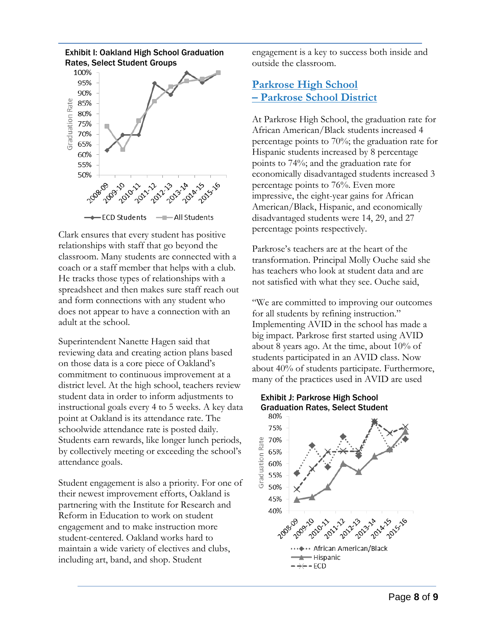

Clark ensures that every student has positive relationships with staff that go beyond the classroom. Many students are connected with a coach or a staff member that helps with a club. He tracks those types of relationships with a spreadsheet and then makes sure staff reach out and form connections with any student who does not appear to have a connection with an adult at the school.

Superintendent Nanette Hagen said that reviewing data and creating action plans based on those data is a core piece of Oakland's commitment to continuous improvement at a district level. At the high school, teachers review student data in order to inform adjustments to instructional goals every 4 to 5 weeks. A key data point at Oakland is its attendance rate. The schoolwide attendance rate is posted daily. Students earn rewards, like longer lunch periods, by collectively meeting or exceeding the school's attendance goals.

Student engagement is also a priority. For one of their newest improvement efforts, Oakland is partnering with the Institute for Research and Reform in Education to work on student engagement and to make instruction more student-centered. Oakland works hard to maintain a wide variety of electives and clubs, including art, band, and shop. Student

engagement is a key to success both inside and outside the classroom.

### **Parkrose High School – Parkrose School District**

At Parkrose High School, the graduation rate for African American/Black students increased 4 percentage points to 70%; the graduation rate for Hispanic students increased by 8 percentage points to 74%; and the graduation rate for economically disadvantaged students increased 3 percentage points to 76%. Even more impressive, the eight-year gains for African American/Black, Hispanic, and economically disadvantaged students were 14, 29, and 27 percentage points respectively.

Parkrose's teachers are at the heart of the transformation. Principal Molly Ouche said she has teachers who look at student data and are not satisfied with what they see. Ouche said,

"We are committed to improving our outcomes for all students by refining instruction." Implementing AVID in the school has made a big impact. Parkrose first started using AVID about 8 years ago. At the time, about 10% of students participated in an AVID class. Now about 40% of students participate. Furthermore, many of the practices used in AVID are used

#### Exhibit J: Parkrose High School Graduation Rates, Select Student